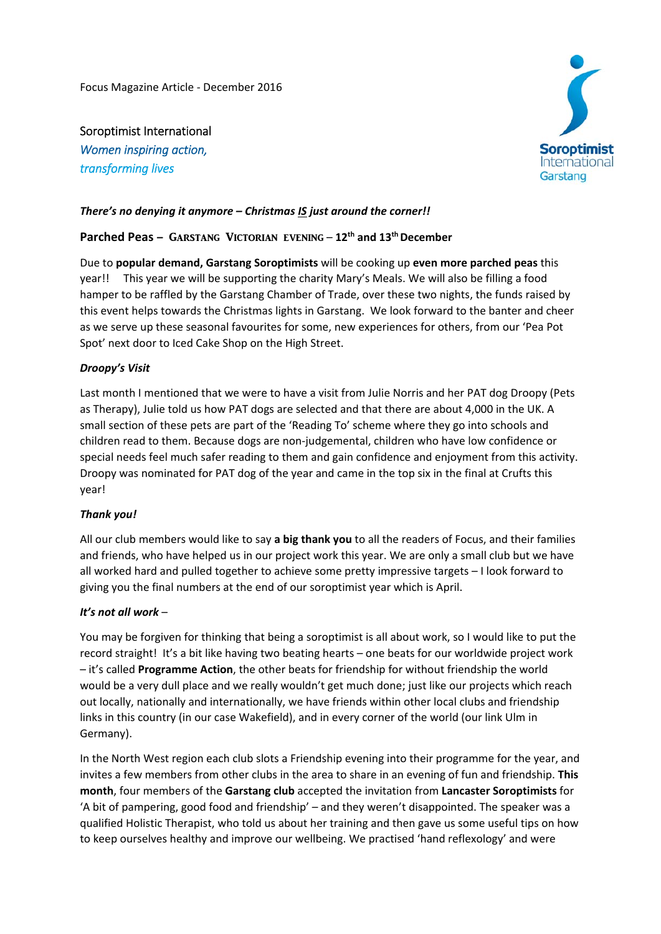Focus Magazine Article ‐ December 2016

Soroptimist International *Women inspiring action, transforming lives*



# *There's no denying it anymore – Christmas IS just around the corner!!*

# **Parched Peas – GARSTANG VICTORIAN EVENING – 12<sup>th</sup> and 13<sup>th</sup> December**

Due to **popular demand, Garstang Soroptimists** will be cooking up **even more parched peas** this year!! This year we will be supporting the charity Mary's Meals. We will also be filling a food hamper to be raffled by the Garstang Chamber of Trade, over these two nights, the funds raised by this event helps towards the Christmas lights in Garstang. We look forward to the banter and cheer as we serve up these seasonal favourites for some, new experiences for others, from our 'Pea Pot Spot' next door to Iced Cake Shop on the High Street.

### *Droopy's Visit*

Last month I mentioned that we were to have a visit from Julie Norris and her PAT dog Droopy (Pets as Therapy), Julie told us how PAT dogs are selected and that there are about 4,000 in the UK. A small section of these pets are part of the 'Reading To' scheme where they go into schools and children read to them. Because dogs are non‐judgemental, children who have low confidence or special needs feel much safer reading to them and gain confidence and enjoyment from this activity. Droopy was nominated for PAT dog of the year and came in the top six in the final at Crufts this year!

### *Thank you!*

All our club members would like to say **a big thank you** to all the readers of Focus, and their families and friends, who have helped us in our project work this year. We are only a small club but we have all worked hard and pulled together to achieve some pretty impressive targets – I look forward to giving you the final numbers at the end of our soroptimist year which is April.

### *It's not all work* –

You may be forgiven for thinking that being a soroptimist is all about work, so I would like to put the record straight! It's a bit like having two beating hearts – one beats for our worldwide project work – it's called **Programme Action**, the other beats for friendship for without friendship the world would be a very dull place and we really wouldn't get much done; just like our projects which reach out locally, nationally and internationally, we have friends within other local clubs and friendship links in this country (in our case Wakefield), and in every corner of the world (our link Ulm in Germany).

In the North West region each club slots a Friendship evening into their programme for the year, and invites a few members from other clubs in the area to share in an evening of fun and friendship. **This month**, four members of the **Garstang club** accepted the invitation from **Lancaster Soroptimists** for 'A bit of pampering, good food and friendship' – and they weren't disappointed. The speaker was a qualified Holistic Therapist, who told us about her training and then gave us some useful tips on how to keep ourselves healthy and improve our wellbeing. We practised 'hand reflexology' and were